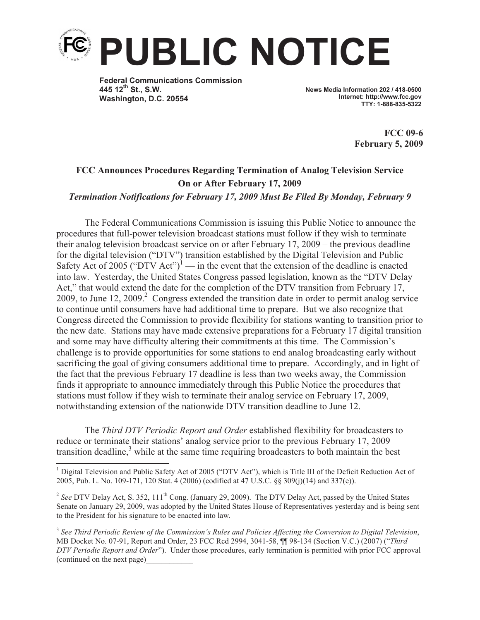

**Federal Communications Commission 445 12th St., S.W. Washington, D.C. 20554**

**News Media Information 202 / 418-0500 Internet: http://www.fcc.gov TTY: 1-888-835-5322**

> **FCC 09-6 February 5, 2009**

## **FCC Announces Procedures Regarding Termination of Analog Television Service On or After February 17, 2009** *Termination Notifications for February 17, 2009 Must Be Filed By Monday, February 9*

The Federal Communications Commission is issuing this Public Notice to announce the procedures that full-power television broadcast stations must follow if they wish to terminate their analog television broadcast service on or after February 17, 2009 – the previous deadline for the digital television ("DTV") transition established by the Digital Television and Public Safety Act of 2005 ("DTV Act")<sup>1</sup> — in the event that the extension of the deadline is enacted into law. Yesterday, the United States Congress passed legislation, known as the "DTV Delay Act," that would extend the date for the completion of the DTV transition from February 17,  $2009$ , to June 12,  $2009<sup>2</sup>$  Congress extended the transition date in order to permit analog service to continue until consumers have had additional time to prepare. But we also recognize that Congress directed the Commission to provide flexibility for stations wanting to transition prior to the new date. Stations may have made extensive preparations for a February 17 digital transition and some may have difficulty altering their commitments at this time. The Commission's challenge is to provide opportunities for some stations to end analog broadcasting early without sacrificing the goal of giving consumers additional time to prepare. Accordingly, and in light of the fact that the previous February 17 deadline is less than two weeks away, the Commission finds it appropriate to announce immediately through this Public Notice the procedures that stations must follow if they wish to terminate their analog service on February 17, 2009, notwithstanding extension of the nationwide DTV transition deadline to June 12.

The *Third DTV Periodic Report and Order* established flexibility for broadcasters to reduce or terminate their stations' analog service prior to the previous February 17, 2009 transition deadline, $3$  while at the same time requiring broadcasters to both maintain the best

<sup>&</sup>lt;sup>1</sup> Digital Television and Public Safety Act of 2005 ("DTV Act"), which is Title III of the Deficit Reduction Act of 2005, Pub. L. No. 109-171, 120 Stat. 4 (2006) (codified at 47 U.S.C. §§ 309(j)(14) and 337(e)).

<sup>&</sup>lt;sup>2</sup> See DTV Delay Act, S. 352, 111<sup>th</sup> Cong. (January 29, 2009). The DTV Delay Act, passed by the United States Senate on January 29, 2009, was adopted by the United States House of Representatives yesterday and is being sent to the President for his signature to be enacted into law.

<sup>3</sup> *See Third Periodic Review of the Commission's Rules and Policies Affecting the Conversion to Digital Television*, MB Docket No. 07-91, Report and Order, 23 FCC Rcd 2994, 3041-58, ¶¶ 98-134 (Section V.C.) (2007) ("*Third DTV Periodic Report and Order*"). Under those procedures, early termination is permitted with prior FCC approval (continued on the next page)\_\_\_\_\_\_\_\_\_\_\_\_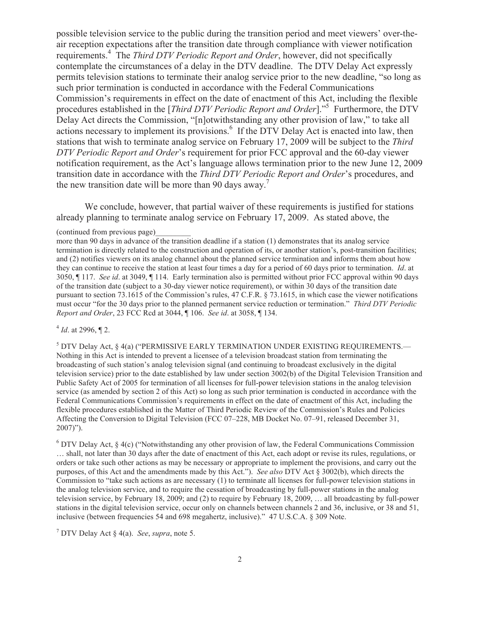possible television service to the public during the transition period and meet viewers' over-theair reception expectations after the transition date through compliance with viewer notification requirements.<sup>4</sup> The *Third DTV Periodic Report and Order*, however, did not specifically contemplate the circumstances of a delay in the DTV deadline. The DTV Delay Act expressly permits television stations to terminate their analog service prior to the new deadline, "so long as such prior termination is conducted in accordance with the Federal Communications Commission's requirements in effect on the date of enactment of this Act, including the flexible procedures established in the [*Third DTV Periodic Report and Order*]."<sup>5</sup> Furthermore, the DTV Delay Act directs the Commission, "[n]otwithstanding any other provision of law," to take all actions necessary to implement its provisions.<sup>6</sup> If the DTV Delay Act is enacted into law, then stations that wish to terminate analog service on February 17, 2009 will be subject to the *Third DTV Periodic Report and Order*'s requirement for prior FCC approval and the 60-day viewer notification requirement, as the Act's language allows termination prior to the new June 12, 2009 transition date in accordance with the *Third DTV Periodic Report and Order*'s procedures, and the new transition date will be more than 90 days away.<sup>7</sup>

We conclude, however, that partial waiver of these requirements is justified for stations already planning to terminate analog service on February 17, 2009. As stated above, the

more than 90 days in advance of the transition deadline if a station (1) demonstrates that its analog service termination is directly related to the construction and operation of its, or another station's, post-transition facilities; and (2) notifies viewers on its analog channel about the planned service termination and informs them about how they can continue to receive the station at least four times a day for a period of 60 days prior to termination. *Id*. at 3050, ¶ 117. *See id*. at 3049, ¶ 114. Early termination also is permitted without prior FCC approval within 90 days of the transition date (subject to a 30-day viewer notice requirement), or within 30 days of the transition date pursuant to section 73.1615 of the Commission's rules, 47 C.F.R. § 73.1615, in which case the viewer notifications must occur "for the 30 days prior to the planned permanent service reduction or termination." *Third DTV Periodic Report and Order*, 23 FCC Rcd at 3044, ¶ 106. *See id*. at 3058, ¶ 134.

4 *Id*. at 2996, ¶ 2.

 $^5$  DTV Delay Act,  $\S$  4(a) ("PERMISSIVE EARLY TERMINATION UNDER EXISTING REQUIREMENTS.— Nothing in this Act is intended to prevent a licensee of a television broadcast station from terminating the broadcasting of such station's analog television signal (and continuing to broadcast exclusively in the digital television service) prior to the date established by law under section 3002(b) of the Digital Television Transition and Public Safety Act of 2005 for termination of all licenses for full-power television stations in the analog television service (as amended by section 2 of this Act) so long as such prior termination is conducted in accordance with the Federal Communications Commission's requirements in effect on the date of enactment of this Act, including the flexible procedures established in the Matter of Third Periodic Review of the Commission's Rules and Policies Affecting the Conversion to Digital Television (FCC 07–228, MB Docket No. 07–91, released December 31, 2007)").

 $6$  DTV Delay Act,  $8$  4(c) ("Notwithstanding any other provision of law, the Federal Communications Commission … shall, not later than 30 days after the date of enactment of this Act, each adopt or revise its rules, regulations, or orders or take such other actions as may be necessary or appropriate to implement the provisions, and carry out the purposes, of this Act and the amendments made by this Act."). *See also* DTV Act § 3002(b), which directs the Commission to "take such actions as are necessary (1) to terminate all licenses for full-power television stations in the analog television service, and to require the cessation of broadcasting by full-power stations in the analog television service, by February 18, 2009; and (2) to require by February 18, 2009, … all broadcasting by full-power stations in the digital television service, occur only on channels between channels 2 and 36, inclusive, or 38 and 51, inclusive (between frequencies 54 and 698 megahertz, inclusive)." 47 U.S.C.A. § 309 Note.

<sup>7</sup> DTV Delay Act § 4(a). *See*, *supra*, note 5.

<sup>(</sup>continued from previous page)\_\_\_\_\_\_\_\_\_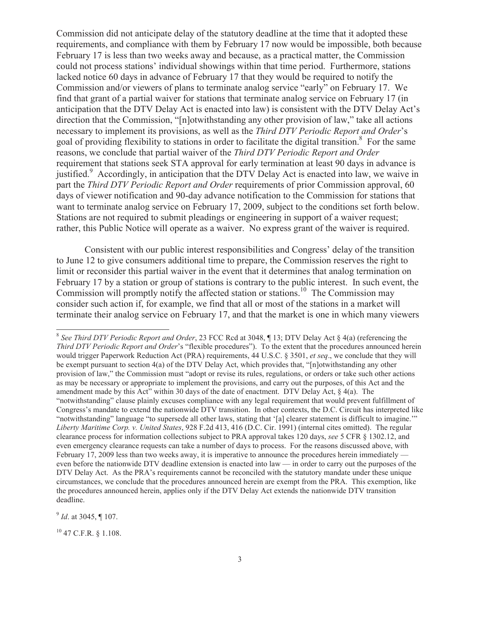Commission did not anticipate delay of the statutory deadline at the time that it adopted these requirements, and compliance with them by February 17 now would be impossible, both because February 17 is less than two weeks away and because, as a practical matter, the Commission could not process stations' individual showings within that time period. Furthermore, stations lacked notice 60 days in advance of February 17 that they would be required to notify the Commission and/or viewers of plans to terminate analog service "early" on February 17. We find that grant of a partial waiver for stations that terminate analog service on February 17 (in anticipation that the DTV Delay Act is enacted into law) is consistent with the DTV Delay Act's direction that the Commission, "[n]otwithstanding any other provision of law," take all actions necessary to implement its provisions, as well as the *Third DTV Periodic Report and Order*'s goal of providing flexibility to stations in order to facilitate the digital transition.<sup>8</sup> For the same reasons, we conclude that partial waiver of the *Third DTV Periodic Report and Order* requirement that stations seek STA approval for early termination at least 90 days in advance is justified.<sup>9</sup> Accordingly, in anticipation that the DTV Delay Act is enacted into law, we waive in part the *Third DTV Periodic Report and Order* requirements of prior Commission approval, 60 days of viewer notification and 90-day advance notification to the Commission for stations that want to terminate analog service on February 17, 2009, subject to the conditions set forth below. Stations are not required to submit pleadings or engineering in support of a waiver request; rather, this Public Notice will operate as a waiver. No express grant of the waiver is required.

Consistent with our public interest responsibilities and Congress' delay of the transition to June 12 to give consumers additional time to prepare, the Commission reserves the right to limit or reconsider this partial waiver in the event that it determines that analog termination on February 17 by a station or group of stations is contrary to the public interest. In such event, the Commission will promptly notify the affected station or stations.<sup>10</sup> The Commission may consider such action if, for example, we find that all or most of the stations in a market will terminate their analog service on February 17, and that the market is one in which many viewers

9 *Id*. at 3045, ¶ 107.

<sup>8</sup> *See Third DTV Periodic Report and Order*, 23 FCC Rcd at 3048, ¶ 13; DTV Delay Act § 4(a) (referencing the *Third DTV Periodic Report and Order*'s "flexible procedures"). To the extent that the procedures announced herein would trigger Paperwork Reduction Act (PRA) requirements, 44 U.S.C. § 3501, *et seq*., we conclude that they will be exempt pursuant to section 4(a) of the DTV Delay Act, which provides that, "[n]otwithstanding any other provision of law," the Commission must "adopt or revise its rules, regulations, or orders or take such other actions as may be necessary or appropriate to implement the provisions, and carry out the purposes, of this Act and the amendment made by this Act" within 30 days of the date of enactment. DTV Delay Act,  $\S$  4(a). The "notwithstanding" clause plainly excuses compliance with any legal requirement that would prevent fulfillment of Congress's mandate to extend the nationwide DTV transition. In other contexts, the D.C. Circuit has interpreted like "notwithstanding" language "to supersede all other laws, stating that '[a] clearer statement is difficult to imagine.'" *Liberty Maritime Corp. v. United States*, 928 F.2d 413, 416 (D.C. Cir. 1991) (internal cites omitted). The regular clearance process for information collections subject to PRA approval takes 120 days, *see* 5 CFR § 1302.12, and even emergency clearance requests can take a number of days to process. For the reasons discussed above, with February 17, 2009 less than two weeks away, it is imperative to announce the procedures herein immediately even before the nationwide DTV deadline extension is enacted into law — in order to carry out the purposes of the DTV Delay Act. As the PRA's requirements cannot be reconciled with the statutory mandate under these unique circumstances, we conclude that the procedures announced herein are exempt from the PRA. This exemption, like the procedures announced herein, applies only if the DTV Delay Act extends the nationwide DTV transition deadline.

 $10$  47 C.F.R. § 1.108.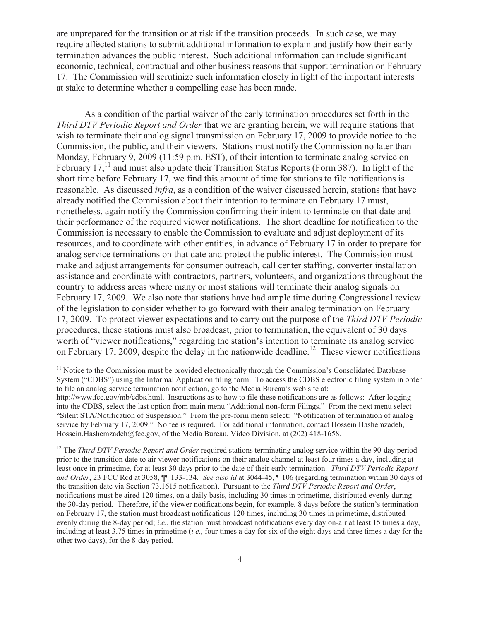are unprepared for the transition or at risk if the transition proceeds. In such case, we may require affected stations to submit additional information to explain and justify how their early termination advances the public interest. Such additional information can include significant economic, technical, contractual and other business reasons that support termination on February 17. The Commission will scrutinize such information closely in light of the important interests at stake to determine whether a compelling case has been made.

As a condition of the partial waiver of the early termination procedures set forth in the *Third DTV Periodic Report and Order* that we are granting herein, we will require stations that wish to terminate their analog signal transmission on February 17, 2009 to provide notice to the Commission, the public, and their viewers. Stations must notify the Commission no later than Monday, February 9, 2009 (11:59 p.m. EST), of their intention to terminate analog service on February 17,<sup>11</sup> and must also update their Transition Status Reports (Form 387). In light of the short time before February 17, we find this amount of time for stations to file notifications is reasonable. As discussed *infra*, as a condition of the waiver discussed herein, stations that have already notified the Commission about their intention to terminate on February 17 must, nonetheless, again notify the Commission confirming their intent to terminate on that date and their performance of the required viewer notifications. The short deadline for notification to the Commission is necessary to enable the Commission to evaluate and adjust deployment of its resources, and to coordinate with other entities, in advance of February 17 in order to prepare for analog service terminations on that date and protect the public interest. The Commission must make and adjust arrangements for consumer outreach, call center staffing, converter installation assistance and coordinate with contractors, partners, volunteers, and organizations throughout the country to address areas where many or most stations will terminate their analog signals on February 17, 2009. We also note that stations have had ample time during Congressional review of the legislation to consider whether to go forward with their analog termination on February 17, 2009. To protect viewer expectations and to carry out the purpose of the *Third DTV Periodic* procedures, these stations must also broadcast, prior to termination, the equivalent of 30 days worth of "viewer notifications," regarding the station's intention to terminate its analog service on February 17, 2009, despite the delay in the nationwide deadline.<sup>12</sup> These viewer notifications

<sup>&</sup>lt;sup>11</sup> Notice to the Commission must be provided electronically through the Commission's Consolidated Database System ("CDBS") using the Informal Application filing form. To access the CDBS electronic filing system in order to file an analog service termination notification, go to the Media Bureau's web site at: http://www.fcc.gov/mb/cdbs.html. Instructions as to how to file these notifications are as follows: After logging into the CDBS, select the last option from main menu "Additional non-form Filings." From the next menu select

<sup>&</sup>quot;Silent STA/Notification of Suspension." From the pre-form menu select: "Notification of termination of analog service by February 17, 2009." No fee is required. For additional information, contact Hossein Hashemzadeh, Hossein.Hashemzadeh@fcc.gov, of the Media Bureau, Video Division, at (202) 418-1658.

<sup>&</sup>lt;sup>12</sup> The *Third DTV Periodic Report and Order* required stations terminating analog service within the 90-day period prior to the transition date to air viewer notifications on their analog channel at least four times a day, including at least once in primetime, for at least 30 days prior to the date of their early termination. *Third DTV Periodic Report and Order*, 23 FCC Rcd at 3058, ¶¶ 133-134. *See also id* at 3044-45, ¶ 106 (regarding termination within 30 days of the transition date via Section 73.1615 notification). Pursuant to the *Third DTV Periodic Report and Order*, notifications must be aired 120 times, on a daily basis, including 30 times in primetime, distributed evenly during the 30-day period. Therefore, if the viewer notifications begin, for example, 8 days before the station's termination on February 17, the station must broadcast notifications 120 times, including 30 times in primetime, distributed evenly during the 8-day period; *i.e.*, the station must broadcast notifications every day on-air at least 15 times a day, including at least 3.75 times in primetime (*i.e.*, four times a day for six of the eight days and three times a day for the other two days), for the 8-day period.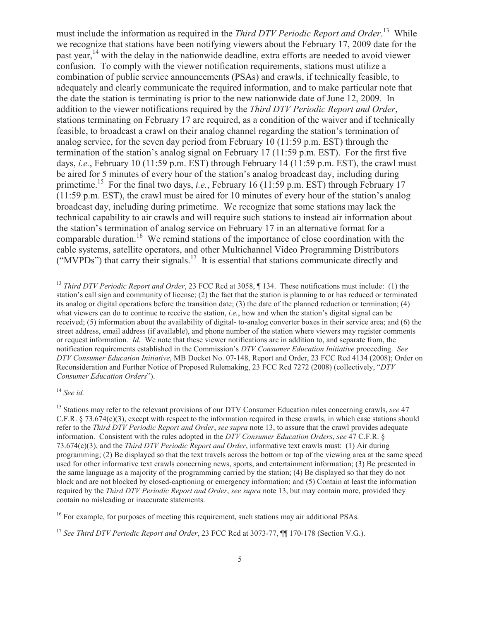must include the information as required in the *Third DTV Periodic Report and Order*. <sup>13</sup> While we recognize that stations have been notifying viewers about the February 17, 2009 date for the past year,<sup>14</sup> with the delay in the nationwide deadline, extra efforts are needed to avoid viewer confusion. To comply with the viewer notification requirements, stations must utilize a combination of public service announcements (PSAs) and crawls, if technically feasible, to adequately and clearly communicate the required information, and to make particular note that the date the station is terminating is prior to the new nationwide date of June 12, 2009. In addition to the viewer notifications required by the *Third DTV Periodic Report and Order*, stations terminating on February 17 are required, as a condition of the waiver and if technically feasible, to broadcast a crawl on their analog channel regarding the station's termination of analog service, for the seven day period from February 10 (11:59 p.m. EST) through the termination of the station's analog signal on February 17 (11:59 p.m. EST). For the first five days, *i.e.*, February 10 (11:59 p.m. EST) through February 14 (11:59 p.m. EST), the crawl must be aired for 5 minutes of every hour of the station's analog broadcast day, including during primetime.<sup>15</sup> For the final two days, *i.e.*, February 16 (11:59 p.m. EST) through February 17 (11:59 p.m. EST), the crawl must be aired for 10 minutes of every hour of the station's analog broadcast day, including during primetime. We recognize that some stations may lack the technical capability to air crawls and will require such stations to instead air information about the station's termination of analog service on February 17 in an alternative format for a comparable duration.<sup>16</sup> We remind stations of the importance of close coordination with the cable systems, satellite operators, and other Multichannel Video Programming Distributors ("MVPDs") that carry their signals.<sup>17</sup> It is essential that stations communicate directly and

<sup>14</sup> *See id.*

<sup>&</sup>lt;sup>13</sup> *Third DTV Periodic Report and Order*, 23 FCC Rcd at 3058, ¶ 134. These notifications must include: (1) the station's call sign and community of license; (2) the fact that the station is planning to or has reduced or terminated its analog or digital operations before the transition date; (3) the date of the planned reduction or termination; (4) what viewers can do to continue to receive the station, *i.e.*, how and when the station's digital signal can be received; (5) information about the availability of digital- to-analog converter boxes in their service area; and (6) the street address, email address (if available), and phone number of the station where viewers may register comments or request information. *Id*. We note that these viewer notifications are in addition to, and separate from, the notification requirements established in the Commission's *DTV Consumer Education Initiative* proceeding. *See DTV Consumer Education Initiative*, MB Docket No. 07-148, Report and Order, 23 FCC Rcd 4134 (2008); Order on Reconsideration and Further Notice of Proposed Rulemaking, 23 FCC Rcd 7272 (2008) (collectively, "*DTV Consumer Education Orders*").

<sup>15</sup> Stations may refer to the relevant provisions of our DTV Consumer Education rules concerning crawls, *see* 47 C.F.R.  $\S$  73.674(c)(3), except with respect to the information required in these crawls, in which case stations should refer to the *Third DTV Periodic Report and Order*, *see supra* note 13, to assure that the crawl provides adequate information. Consistent with the rules adopted in the *DTV Consumer Education Orders*, *see* 47 C.F.R. § 73.674(c)(3), and the *Third DTV Periodic Report and Order*, informative text crawls must: (1) Air during programming; (2) Be displayed so that the text travels across the bottom or top of the viewing area at the same speed used for other informative text crawls concerning news, sports, and entertainment information; (3) Be presented in the same language as a majority of the programming carried by the station; (4) Be displayed so that they do not block and are not blocked by closed-captioning or emergency information; and (5) Contain at least the information required by the *Third DTV Periodic Report and Order*, *see supra* note 13, but may contain more, provided they contain no misleading or inaccurate statements.

<sup>&</sup>lt;sup>16</sup> For example, for purposes of meeting this requirement, such stations may air additional PSAs.

<sup>17</sup> *See Third DTV Periodic Report and Order*, 23 FCC Rcd at 3073-77, ¶¶ 170-178 (Section V.G.).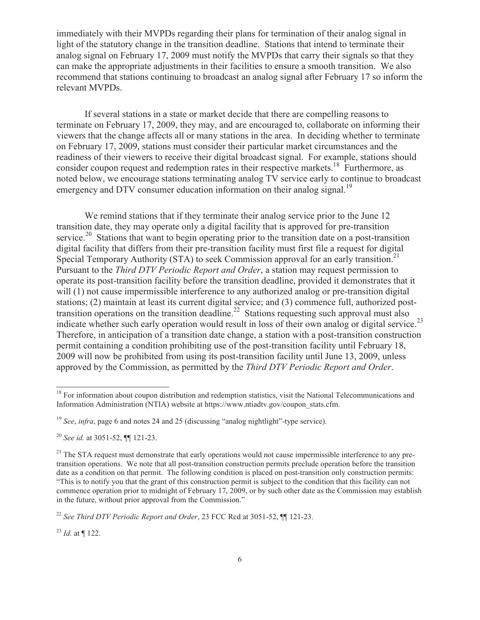immediately with their MVPDs regarding their plans for termination of their analog signal in light of the statutory change in the transition deadline. Stations that intend to terminate their analog signal on February 17, 2009 must notify the MVPDs that carry their signals so that they can make the appropriate adjustments in their facilities to ensure a smooth transition. We also recommend that stations continuing to broadcast an analog signal after February 17 so inform the relevant MVPDs.

If several stations in a state or market decide that there are compelling reasons to terminate on February 17, 2009, they may, and are encouraged to, collaborate on informing their viewers that the change affects all or many stations in the area. In deciding whether to terminate on February 17, 2009, stations must consider their particular market circumstances and the readiness of their viewers to receive their digital broadcast signal. For example, stations should consider coupon request and redemption rates in their respective markets.<sup>18</sup> Furthermore, as noted below, we encourage stations terminating analog TV service early to continue to broadcast emergency and DTV consumer education information on their analog signal.<sup>19</sup>

We remind stations that if they terminate their analog service prior to the June 12 transition date, they may operate only a digital facility that is approved for pre-transition service.<sup>20</sup> Stations that want to begin operating prior to the transition date on a post-transition digital facility that differs from their pre-transition facility must first file a request for digital Special Temporary Authority (STA) to seek Commission approval for an early transition.<sup>21</sup> Pursuant to the *Third DTV Periodic Report and Order*, a station may request permission to operate its post-transition facility before the transition deadline, provided it demonstrates that it will (1) not cause impermissible interference to any authorized analog or pre-transition digital stations; (2) maintain at least its current digital service; and (3) commence full, authorized posttransition operations on the transition deadline.<sup>22</sup> Stations requesting such approval must also indicate whether such early operation would result in loss of their own analog or digital service.<sup>23</sup> Therefore, in anticipation of a transition date change, a station with a post-transition construction permit containing a condition prohibiting use of the post-transition facility until February 18, 2009 will now be prohibited from using its post-transition facility until June 13, 2009, unless approved by the Commission, as permitted by the *Third DTV Periodic Report and Order*.

<sup>23</sup> *Id.* at ¶ 122.

<sup>&</sup>lt;sup>18</sup> For information about coupon distribution and redemption statistics, visit the National Telecommunications and Information Administration (NTIA) website at https://www.ntiadtv.gov/coupon\_stats.cfm.

<sup>19</sup> *See*, *infra*, page 6 and notes 24 and 25 (discussing "analog nightlight"-type service).

<sup>20</sup> *See id.* at 3051-52, ¶¶ 121-23.

 $21$  The STA request must demonstrate that early operations would not cause impermissible interference to any pretransition operations. We note that all post-transition construction permits preclude operation before the transition date as a condition on that permit. The following condition is placed on post-transition only construction permits: "This is to notify you that the grant of this construction permit is subject to the condition that this facility can not commence operation prior to midnight of February 17, 2009, or by such other date as the Commission may establish in the future, without prior approval from the Commission."

<sup>22</sup> *See Third DTV Periodic Report and Order*, 23 FCC Rcd at 3051-52, ¶¶ 121-23.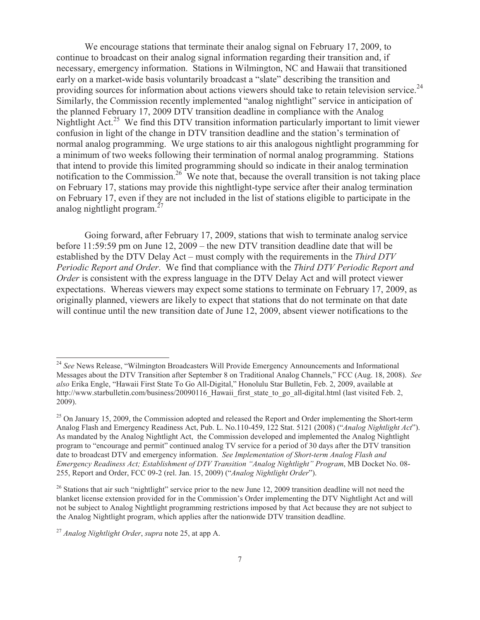We encourage stations that terminate their analog signal on February 17, 2009, to continue to broadcast on their analog signal information regarding their transition and, if necessary, emergency information. Stations in Wilmington, NC and Hawaii that transitioned early on a market-wide basis voluntarily broadcast a "slate" describing the transition and providing sources for information about actions viewers should take to retain television service.<sup>24</sup> Similarly, the Commission recently implemented "analog nightlight" service in anticipation of the planned February 17, 2009 DTV transition deadline in compliance with the Analog Nightlight Act.<sup>25</sup> We find this DTV transition information particularly important to limit viewer confusion in light of the change in DTV transition deadline and the station's termination of normal analog programming. We urge stations to air this analogous nightlight programming for a minimum of two weeks following their termination of normal analog programming. Stations that intend to provide this limited programming should so indicate in their analog termination notification to the Commission.<sup>26</sup> We note that, because the overall transition is not taking place on February 17, stations may provide this nightlight-type service after their analog termination on February 17, even if they are not included in the list of stations eligible to participate in the analog nightlight program. $27$ 

Going forward, after February 17, 2009, stations that wish to terminate analog service before 11:59:59 pm on June 12, 2009 – the new DTV transition deadline date that will be established by the DTV Delay Act – must comply with the requirements in the *Third DTV Periodic Report and Order*. We find that compliance with the *Third DTV Periodic Report and Order* is consistent with the express language in the DTV Delay Act and will protect viewer expectations. Whereas viewers may expect some stations to terminate on February 17, 2009, as originally planned, viewers are likely to expect that stations that do not terminate on that date will continue until the new transition date of June 12, 2009, absent viewer notifications to the

<sup>&</sup>lt;sup>24</sup> See News Release, "Wilmington Broadcasters Will Provide Emergency Announcements and Informational Messages about the DTV Transition after September 8 on Traditional Analog Channels," FCC (Aug. 18, 2008). *See also* Erika Engle, "Hawaii First State To Go All-Digital," Honolulu Star Bulletin, Feb. 2, 2009, available at http://www.starbulletin.com/business/20090116 Hawaii first state to go all-digital.html (last visited Feb. 2, 2009).

<sup>&</sup>lt;sup>25</sup> On January 15, 2009, the Commission adopted and released the Report and Order implementing the Short-term Analog Flash and Emergency Readiness Act, Pub. L. No.110-459, 122 Stat. 5121 (2008) ("*Analog Nightlight Act*"). As mandated by the Analog Nightlight Act, the Commission developed and implemented the Analog Nightlight program to "encourage and permit" continued analog TV service for a period of 30 days after the DTV transition date to broadcast DTV and emergency information. *See Implementation of Short-term Analog Flash and Emergency Readiness Act; Establishment of DTV Transition "Analog Nightlight" Program*, MB Docket No. 08- 255, Report and Order, FCC 09-2 (rel. Jan. 15, 2009) ("*Analog Nightlight Order*").

<sup>&</sup>lt;sup>26</sup> Stations that air such "nightlight" service prior to the new June 12, 2009 transition deadline will not need the blanket license extension provided for in the Commission's Order implementing the DTV Nightlight Act and will not be subject to Analog Nightlight programming restrictions imposed by that Act because they are not subject to the Analog Nightlight program, which applies after the nationwide DTV transition deadline.

<sup>27</sup> *Analog Nightlight Order*, *supra* note 25, at app A.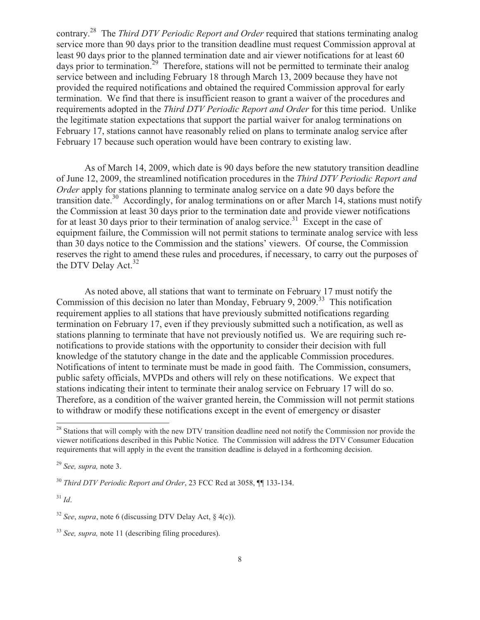contrary. <sup>28</sup> The *Third DTV Periodic Report and Order* required that stations terminating analog service more than 90 days prior to the transition deadline must request Commission approval at least 90 days prior to the planned termination date and air viewer notifications for at least 60 days prior to termination.<sup>29</sup> Therefore, stations will not be permitted to terminate their analog service between and including February 18 through March 13, 2009 because they have not provided the required notifications and obtained the required Commission approval for early termination. We find that there is insufficient reason to grant a waiver of the procedures and requirements adopted in the *Third DTV Periodic Report and Order* for this time period. Unlike the legitimate station expectations that support the partial waiver for analog terminations on February 17, stations cannot have reasonably relied on plans to terminate analog service after February 17 because such operation would have been contrary to existing law.

As of March 14, 2009, which date is 90 days before the new statutory transition deadline of June 12, 2009, the streamlined notification procedures in the *Third DTV Periodic Report and Order* apply for stations planning to terminate analog service on a date 90 days before the transition date.<sup>30</sup> Accordingly, for analog terminations on or after March 14, stations must notify the Commission at least 30 days prior to the termination date and provide viewer notifications for at least 30 days prior to their termination of analog service.<sup>31</sup> Except in the case of equipment failure, the Commission will not permit stations to terminate analog service with less than 30 days notice to the Commission and the stations' viewers. Of course, the Commission reserves the right to amend these rules and procedures, if necessary, to carry out the purposes of the DTV Delay Act. $32$ 

As noted above, all stations that want to terminate on February 17 must notify the Commission of this decision no later than Monday, February 9, 2009.<sup>33</sup> This notification requirement applies to all stations that have previously submitted notifications regarding termination on February 17, even if they previously submitted such a notification, as well as stations planning to terminate that have not previously notified us. We are requiring such renotifications to provide stations with the opportunity to consider their decision with full knowledge of the statutory change in the date and the applicable Commission procedures. Notifications of intent to terminate must be made in good faith. The Commission, consumers, public safety officials, MVPDs and others will rely on these notifications. We expect that stations indicating their intent to terminate their analog service on February 17 will do so. Therefore, as a condition of the waiver granted herein, the Commission will not permit stations to withdraw or modify these notifications except in the event of emergency or disaster

<sup>30</sup> *Third DTV Periodic Report and Order*, 23 FCC Rcd at 3058, ¶¶ 133-134.

<sup>31</sup> *Id*.

<sup>&</sup>lt;sup>28</sup> Stations that will comply with the new DTV transition deadline need not notify the Commission nor provide the viewer notifications described in this Public Notice. The Commission will address the DTV Consumer Education requirements that will apply in the event the transition deadline is delayed in a forthcoming decision.

<sup>29</sup> *See, supra,* note 3.

<sup>32</sup> *See*, *supra*, note 6 (discussing DTV Delay Act, § 4(c)).

<sup>33</sup> *See, supra,* note 11 (describing filing procedures).